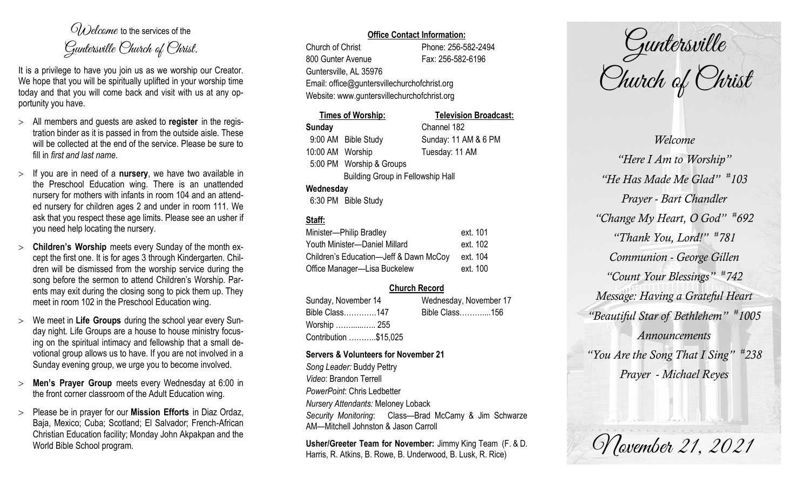$O(\lambda)$  elcame to the services of the Guntersville Church of Christ.

It is a privilege to have you join us as we worship our Creator. We hope that you will be spiritually uplifted in your worship time today and that you will come back and visit with us at any opportunity you have.

- All members and guests are asked to **register** in the registration binder as it is passed in from the outside aisle. These will be collected at the end of the service. Please be sure to fill in *first and last name*.
- $>$  If you are in need of a **nursery**, we have two available in the Preschool Education wing. There is an unattended nursery for mothers with infants in room 104 and an attended nursery for children ages 2 and under in room 111. We ask that you respect these age limits. Please see an usher if you need help locating the nursery.
- **Children's Worship** meets every Sunday of the month except the first one. It is for ages 3 through Kindergarten. Children will be dismissed from the worship service during the song before the sermon to attend Children's Worship. Parents may exit during the closing song to pick them up. They meet in room 102 in the Preschool Education wing.
- We meet in **Life Groups** during the school year every Sunday night. Life Groups are a house to house ministry focusing on the spiritual intimacy and fellowship that a small devotional group allows us to have. If you are not involved in a Sunday evening group, we urge you to become involved.
- **Men's Prayer Group** meets every Wednesday at 6:00 in the front corner classroom of the Adult Education wing.
- Please be in prayer for our **Mission Efforts** in Diaz Ordaz, Baja, Mexico; Cuba; Scotland; El Salvador; French-African Christian Education facility; Monday John Akpakpan and the World Bible School program.

#### **Office Contact Information:**

Church of Christ Phone: 256-582-2494 800 Gunter Avenue Fax: 256-582-6196 Guntersville, AL 35976 Email: office@guntersvillechurchofchrist.org Website: www.guntersvillechurchofchrist.org

|                  | <b>Times of Worship:</b>                 | <b>Television Broadcast:</b> |
|------------------|------------------------------------------|------------------------------|
| <b>Sunday</b>    |                                          | Channel 182                  |
|                  | 9:00 AM Bible Study                      | Sunday: 11 AM & 6 PM         |
| 10:00 AM Worship |                                          | Tuesday: 11 AM               |
|                  | 5:00 PM Worship & Groups                 |                              |
|                  | <b>Building Group in Fellowship Hall</b> |                              |
| Wednesday        |                                          |                              |
|                  | 6:30 PM Bible Study                      |                              |

# **Staff:**

| Minister-Philip Bradley                | ext. 101 |
|----------------------------------------|----------|
| Youth Minister-Daniel Millard          | ext. 102 |
| Children's Education-Jeff & Dawn McCoy | ext. 104 |
| Office Manager-Lisa Buckelew           | ext. 100 |

## **Church Record**

Sunday, November 14 Wednesday, November 17 Bible Class………….147 Bible Class………....156 Worship ……......….. 255 Contribution ………..\$15,025

#### **Servers & Volunteers for November 21**

*Song Leader:* Buddy Pettry *Video*: Brandon Terrell *PowerPoint*: Chris Ledbetter *Nursery Attendants:* Meloney Loback *Security Monitoring*: Class—Brad McCamy & Jim Schwarze AM—Mitchell Johnston & Jason Carroll

**Usher/Greeter Team for November:** Jimmy King Team (F. & D. Harris, R. Atkins, B. Rowe, B. Underwood, B. Lusk, R. Rice)

Guntersville Church of Christ

*Welcome "Here I Am to Worship" "He Has Made Me Glad" # 103 Prayer - Bart Chandler "Change My Heart, O God" # 692 "Thank You, Lord!" # 781 Communion - George Gillen "Count Your Blessings" # 742 Message: Having a Grateful Heart "Beautiful Star of Bethlehem" # 1005 Announcements "You Are the Song That I Sing" # 238 Prayer - Michael Reyes*

November 21, 2021